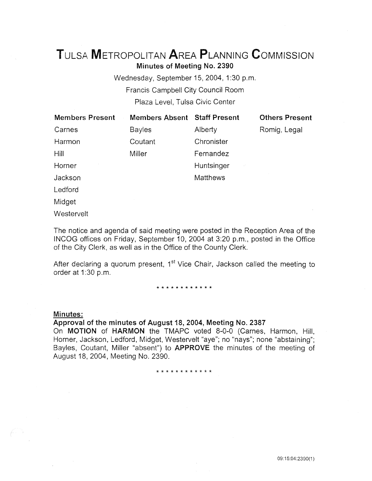# TuLsA METROPOLITAN AREA PLANNING CoMMISSION

Minutes of Meeting No. 2390

Wednesday, September 15, 2004, 1:30 p.m. Francis Campbell City Council Room Plaza Level, Tulsa Civic Center

| <b>Members Present</b> | <b>Members Absent Staff Present</b> |                 | <b>Others Present</b> |
|------------------------|-------------------------------------|-----------------|-----------------------|
| Carnes                 | <b>Bayles</b>                       | Alberty         | Romig, Legal          |
| Harmon                 | Coutant                             | Chronister      |                       |
| Hill                   | Miller                              | Fernandez       |                       |
| Horner                 |                                     | Huntsinger      |                       |
| Jackson                |                                     | <b>Matthews</b> |                       |
| Ledford                |                                     |                 |                       |
| Midget                 |                                     |                 |                       |

Westervelt

The notice and agenda of said meeting were posted in the Reception Area of the IN COG offices on Friday, September 10, 2004 at 3:20 p.m., posted in the Office of the City Clerk, as well as in the Office of the County Clerk.

After declaring a quorum present,  $1<sup>st</sup>$  Vice Chair, Jackson called the meeting to order at 1:30 p.m.

#### \* \* \* \* \* \* \* \* \* \* \* \*

## Minutes:

## Approval of the minutes of August 18, 2004, Meeting No. 2387 On MOTION of HARMON the TMAPC voted 8-0-0 (Carnes, Harmon, Hill, Horner, Jackson, Ledford, Midget, Westervelt "aye"; no "nays"; none "abstaining"; Bayles, Coutant, Miller "absent") to APPROVE the minutes of the meeting of August 18, 2004, Meeting No. 2390.

\* \* \* \* \* \* \* \* \* \* \*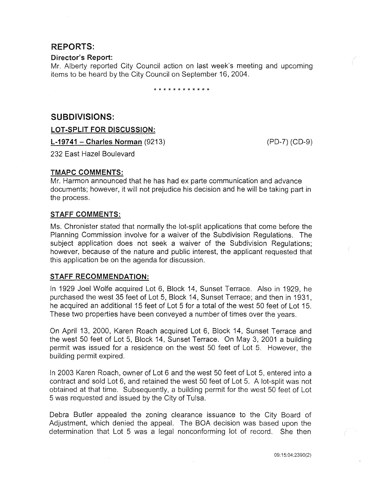## **REPORTS:**

#### **Director's Report:**

Mr. Alberty reported City Council action on last week's meeting and upcoming items to be heard by the City Council on September 16, 2004.

\* \* \* \* \* \* \* \* \* \* \* \*

## **SUBDIVISIONS:**

**LOT -SPLIT FOR DISCUSSION:** 

**L-19741- Charles Norman** (9213)

(PD-7) (CD-9)

232 East Hazel Boulevard

## **TMAPC COMMENTS:**

Mr. Harmon announced that he has had ex parte communication and advance documents; however, it will not prejudice his decision and he will be taking part in the process.

#### **STAFF COMMENTS:**

Ms. Chronister stated that normally the lot-split applications that come before the Planning Commission involve for a waiver of the Subdivision Regulations. The subject application does not seek a waiver of the Subdivision Regulations; however, because of the nature and public interest, the applicant requested that this application be on the agenda for discussion.

## **STAFF RECOMMENDATION:**

In 1929 Joel Wolfe acquired Lot 6, Block 14, Sunset Terrace. Also in 1929, he purchased the west 35 feet of Lot 5, Block 14, Sunset Terrace; and then in 1931, he acquired an additional 15 feet of Lot 5 for a total of the west 50 feet of Lot 15. These two properties have been conveyed a number of times over the years.

On April 13, 2000, Karen Roach acquired Lot 6, Block 14, Sunset Terrace and the west 50 feet of Lot 5, Block 14, Sunset Terrace. On May 3, 2001 a building permit was issued for a residence on the west 50 feet of Lot 5. However, the building permit expired.

In 2003 Karen Roach, owner of Lot 6 and the west 50 feet of Lot 5, entered into a contract and sold Lot 6, and retained the west 50 feet of Lot 5. A lot-split was not obtained at that time. Subsequently, a building permit for the west 50 feet of Lot 5 was requested and issued by the City of Tulsa.

Debra Butler appealed the zoning clearance issuance to the City Board of Adjustment, which denied the appeal. The BOA decision was based upon the determination that Lot 5 was a legal nonconforming lot of record. She then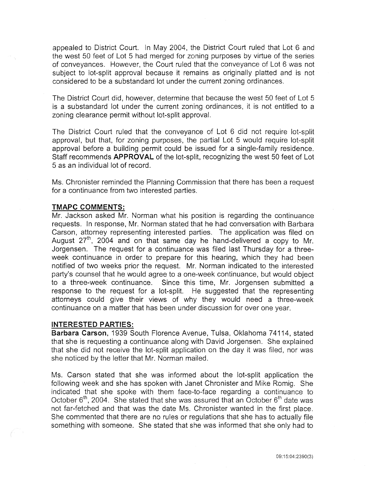appealed to District Court. In May 2004, the District Court ruled that Lot 6 and the west 50 feet of Lot 5 had merged for zoning purposes by virtue of the series of conveyances. However, the Court ruled that the conveyance of Lot 6 was not subject to lot-split approval because it remains as originally platted and is not considered to be a substandard lot under the current zoning ordinances.

The District Court did, however, determine that because the west 50 feet of Lot 5 is a substandard lot under the current zoning ordinances, it is not entitled to a zoning clearance permit without lot-split approval.

The District Court ruled that the conveyance of Lot 6 did not require lot-split approval, but that, for zoning purposes, the partial Lot 5 would require lot-split approval before a building permit could be issued for a single-family residence. Staff recommends **APPROVAL** of the lot-split, recognizing the west 50 feet of Lot 5 as an individual lot of record.

Ms. Chronister reminded the Planning Commission that there has been a request for a continuance from two interested parties.

#### **TMAPC COMMENTS:**

Mr. Jackson asked Mr. Norman what his position is regarding the continuance requests. In response, Mr. Norman stated that he had conversation with Barbara Carson, attorney representing interested parties. The application was filed on August  $27<sup>th</sup>$ , 2004 and on that same day he hand-delivered a copy to Mr. Jorgensen. The request for a continuance was filed last Thursday for a threeweek continuance in order to prepare for this hearing, which they had been notified of two weeks prior the request. Mr. Norman indicated to the interested party's counsel that he would agree to a one-week continuance, but would object to a three-week continuance. Since this time, Mr. Jorgensen submitted a response to the request for a lot-split. He suggested that the representing attorneys could give their views of why they would need a three-week continuance on a matter that has been under discussion for over one year.

#### **INTERESTED PARTIES:**

**Barbara Carson,** 1939 South Florence Avenue, Tulsa, Oklahoma 74114, stated that she is requesting a continuance along with David Jorgensen. She explained that she did not receive the lot-split application on the day it was filed, nor was she noticed by the letter that Mr. Norman mailed.

Ms. Carson stated that she was informed about the lot-split application the following week and she has spoken with Janet Chronister and Mike Romig. She indicated that she spoke with them face-to-face regarding a continuance to October  $6<sup>th</sup>$ , 2004. She stated that she was assured that an October  $6<sup>th</sup>$  date was not far-fetched and that was the date Ms. Chronister wanted in the first place. She commented that there are no rules or regulations that she has to actually file something with someone. She stated that she was informed that she only had to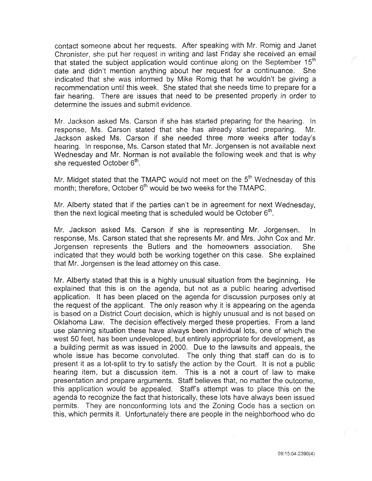contact someone about her requests. After speaking with Mr. Romig and Janet Chronister, she put her request in writing and last Friday she received an email that stated the subject application would continue along on the September 15<sup>th</sup> date and didn't mention anything about her request for a continuance. She indicated that she was informed by Mike Romig that he wouldn't be giving a recommendation until this week. She stated that she needs time to prepare for a fair hearing. There are issues that need to be presented properly in order to determine the issues and submit evidence.

Mr. Jackson asked Ms. Carson if she has started preparing for the hearing. In response, Ms. Carson stated that she has already started preparing. Mr. Jackson asked Ms. Carson if she needed three more weeks after today's hearing. In response, Ms. Carson stated that Mr. Jorgensen is not available next Wednesday and Mr. Norman is not available the following week and that is why she requested October 6<sup>th</sup>.

Mr. Midget stated that the TMAPC would not meet on the 5<sup>th</sup> Wednesday of this month; therefore, October 6<sup>th</sup> would be two weeks for the TMAPC.

Mr. Alberty stated that if the parties can't be in agreement for next Wednesday, then the next logical meeting that is scheduled would be October  $6<sup>th</sup>$ .

Mr. Jackson asked Ms. Carson if she is representing Mr. Jorgensen. In response, Ms. Carson stated that she represents Mr. and Mrs. John Cox and Mr. Jorgensen represents the Butlers and the homeowners association. She indicated that they would both be working together on this case. She explained that Mr. Jorgensen is the lead attorney on this case.

Mr. Alberty stated that this is a highly unusual situation from the beginning. He explained that this is on the agenda, but not as a public hearing advertised application. It has been placed on the agenda for discussion purposes only at the request of the applicant. The only reason why it is appearing on the agenda is based on a District Court decision, which is highly unusual and is not based on Oklahoma Law. The decision effectively merged these properties. From a land use planning situation these have always been individual lots, one of which the west 50 feet, has been undeveloped, but entirely appropriate for development, as a building permit as was issued in 2000. Due to the lawsuits and appeals, the whole issue has become convoluted. The only thing that staff can do is to present it as a lot-split to try to satisfy the action by the Court. It is not a public hearing item, but a discussion item. This is a not a court of law to make presentation and prepare arguments. Staff believes that, no matter the outcome, this application would be appealed. Staffs attempt was to place this on the agenda to recognize the fact that historically, these lots have always been issued permits. They are nonconforming lots and the Zoning Code has a section on this, which permits it. Unfortunately there are people in the neighborhood who do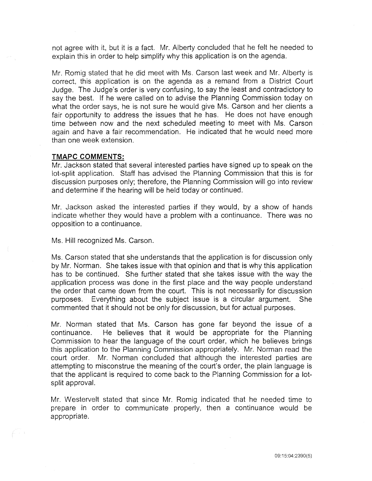not agree with it, but it is a fact. Mr. Alberty concluded that he felt he needed to explain this in order to help simplify why this application is on the agenda.

Mr. Romig stated that he did meet with Ms. Carson last week and Mr. Alberty is correct, this application is on the agenda as a remand from a District Court Judge. The Judge's order is very confusing, to say the least and contradictory to say the best. If he were called on to advise the Planning Commission today on what the order says, he is not sure he would give Ms. Carson and her clients a fair opportunity to address the issues that he has. He does not have enough time between now and the next scheduled meeting to meet with Ms. Carson again and have a fair recommendation. He indicated that he would need more than one week extension.

#### **TMAPC COMMENTS:**

Mr. Jackson stated that several interested parties have signed up to speak on the lot-split application. Staff has advised the Planning Commission that this is for discussion purposes only; therefore, the Planning Commission will go into review and determine if the hearing will be held today or continued.

Mr. Jackson asked the interested parties if they would, by a show of hands indicate whether they would have a problem with a continuance. There was no opposition to a continuance.

Ms. Hill recognized Ms. Carson.

Ms. Carson stated that she understands that the application is for discussion only by Mr. Norman. She takes issue with that opinion and that is why this application has to be continued. She further stated that she takes issue with the way the application process was done in the first place and the way people understand the order that came down from the court. This is not necessarily for discussion purposes. Everything about the subject issue is a circular argument. She commented that it should not be only for discussion, but for actual purposes.

Mr. Norman stated that Ms. Carson has gone far beyond the issue of a continuance. He believes that it would be appropriate for the Planning Commission to hear the language of the court order, which he believes brings this application to the Planning Commission appropriately. Mr. Norman read the court order. Mr. Norman concluded that although the interested parties are attempting to misconstrue the meaning of the court's order, the plain language is that the applicant is required to come back to the Planning Commission for a lotsplit approval.

Mr. Westervelt stated that since Mr. Romig indicated that he needed time to prepare in order to communicate properly, then a continuance would be appropriate.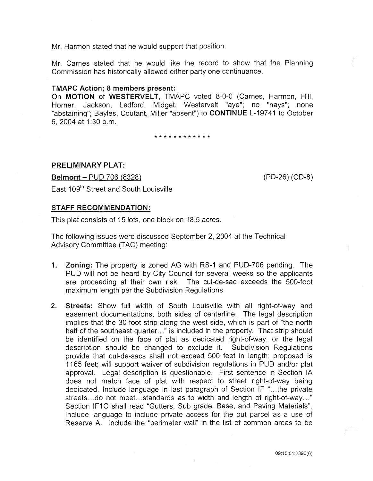Mr. Harmon stated that he would support that position.

Mr. Carnes stated that he would like the record to show that the Planning Commission has historically allowed either party one continuance.

## TMAPC Action; 8 members present:

On MOTION of WESTERVELT, TMAPC voted 8-0-0 (Carnes, Harmon, Hill, Horner, Jackson, Ledford, Midget, Westervelt "aye"; no "nays"; none "abstaining"; Bayles, Coutant, Miller "absent") to CONTINUE L-19741 to October 6, 2004 at 1:30 p.m.

\* \* \* \* \* \* \* \* \* \* \* \*

## PRELIMINARY PLAT:

Belmont- PUD 706 (8328) (PD-26) (CD-8) East 109<sup>th</sup> Street and South Louisville

#### STAFF RECOMMENDATION:

This plat consists of 15 lots, one block on 18.5 acres.

The following issues were discussed September 2, 2004 at the Technical Advisory Committee (TAC) meeting:

- 1. Zoning: The property is zoned AG with RS-1 and PUD-706 pending. The PUD will not be heard by City Council for several weeks so the applicants are proceeding at their own risk. The cul-de-sac exceeds the 500-foot maximum length per the Subdivision Regulations.
- 2. Streets: Show full width of South Louisville with all right-of-way and easement documentations, both sides of centerline. The legal description implies that the 30-foot strip along the west side, which is part of "the north half of the southeast quarter..." is included in the property. That strip should be identified on the face of plat as dedicated right-of-way, or the legal description should be changed to exclude it. Subdivision Regulations provide that cui-de-sacs shall not exceed 500 feet in length; proposed is 1165 feet; will support waiver of subdivision regulations in PUD and/or plat approval. Legal description is questionable. First sentence in Section lA does not match face of plat with respect to street right-of-way being dedicated. Include language in last paragraph of Section IF "...the private streets... do not meet... standards as to width and length of right-of-way..." Section IF1C shall read "Gutters, Sub grade, Base, and Paving Materials". Include language to include private access for the out parcel as a use of Reserve A. Include the "perimeter wall" in the list of common areas to be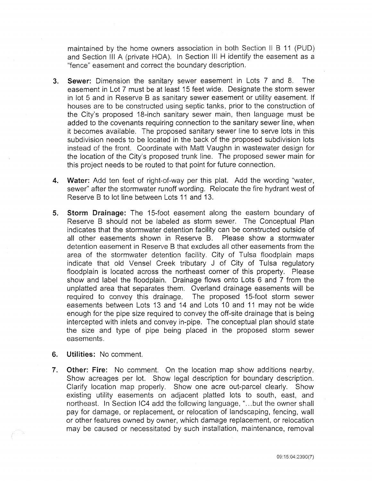maintained by the home owners association in both Section II B 11 (PUD) and Section III A (private HOA). In Section III H identify the easement as a "fence" easement and correct the boundary description.

- 3. Sewer: Dimension the sanitary sewer easement in Lots 7 and 8. The easement in Lot 7 must be at least 15 feet wide. Designate the storm sewer in lot 5 and in Reserve B as sanitary sewer easement or utility easement. If houses are to be constructed using septic tanks, prior to the construction of the City's proposed 18-inch sanitary sewer main, then language must be added to the covenants requiring connection to the sanitary sewer line, when it becomes available. The proposed sanitary sewer line to serve lots in this subdivision needs to be located in the back of the proposed subdivision lots instead of the front. Coordinate with Matt Vaughn in wastewater design for the location of the City's proposed trunk line. The proposed sewer main for this project needs to be routed to that point for future connection.
- 4. Water: Add ten feet of right-of-way per this plat. Add the wording "water, sewer" after the stormwater runoff wording. Relocate the fire hydrant west of Reserve B to lot line between Lots 11 and 13.
- 5. Storm Drainage: The 15-foot easement along the eastern boundary of Reserve B should not be labeled as storm sewer. The Conceptual Plan indicates that the stormwater detention facility can be constructed outside of all other easements shown in Reserve B. Please show a stormwater detention easement in Reserve B that excludes all other easements from the area of the stormwater detention facility. City of Tulsa floodplain maps indicate that old Vensel Creek tributary J of City of Tulsa regulatory floodplain is located across the northeast corner of this property. Please show and label the floodplain. Drainage flows onto Lots 6 and 7 from the unplatted area that separates them. Overland drainage easements will be required to convey this drainage. The proposed 15-foot storm sewer easements between Lots 13 and 14 and Lots 10 and 11 may not be wide enough for the pipe size required to convey the off-site drainage that is being intercepted with inlets and convey in-pipe. The conceptual plan should state the size and type of pipe being placed in the proposed storm sewer easements.
- 6. Utilities: No comment.
- 7. Other: Fire: No comment. On the location map show additions nearby. Show acreages per lot. Show legal description for boundary description. Clarify location map properly. Show one acre out-parcel clearly. Show existing utility easements on adjacent platted lots to south, east, and northeast. In Section IC4 add the following language, "... but the owner shall pay for damage, or replacement, or relocation of landscaping, fencing, wall or other features owned by owner, which damage replacement, or relocation may be caused or necessitated by such installation, maintenance, removal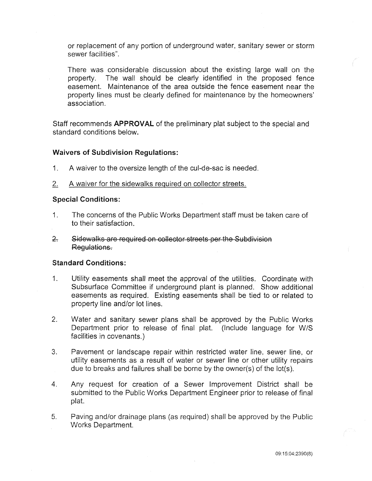or replacement of any portion of underground water, sanitary sewer or storm sewer facilities".

There was considerable discussion about the existing large wall on the property. The wall should be clearly identified in the proposed fence easement. Maintenance of the area outside the fence easement near the property lines must be clearly defined for maintenance by the homeowners' association.

Staff recommends APPROVAL of the preliminary plat subject to the special and standard conditions below.

## Waivers of Subdivision Regulations:

- 1. A waiver to the oversize length of the cul-de-sac is needed.
- 2. A waiver for the sidewalks required on collector streets.

## Special Conditions:

- 1. The concerns of the Public Works Department staff must be taken care of to their satisfaction.
- &. Sidewalks are required on collector streets per the Subdivision Regulations.

## Standard Conditions:

- 1. Utility easements shall meet the approval of the utilities. Coordinate with Subsurface Committee if underground plant is planned. Show additional easements as required. Existing easements shall be tied to or related to property line and/or lot lines.
- 2. Water and sanitary sewer plans shall be approved by the Public Works Department prior to release of final plat. (Include language for W/S facilities in covenants.)
- 3. Pavement or landscape repair within restricted water line, sewer line, or utility easements as a result of water or sewer line or other utility repairs due to breaks and failures shall be borne by the owner(s) of the lot(s).
- 4. Any request for creation of a Sewer Improvement District shall be submitted to the Public Works Department Engineer prior to release of final plat.
- 5. Paving and/or drainage plans (as required) shall be approved by the Public Works Department.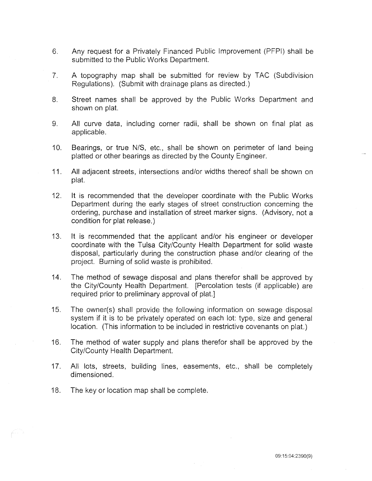- 6. Any request for a Privately Financed Public Improvement (PFPI) shall be submitted to the Public Works Department.
- 7. A topography map shall be submitted for review by TAC (Subdivision Regulations). (Submit with drainage plans as directed.)
- 8. Street names shall be approved by the Public Works Department and shown on plat.
- 9. All curve data, including corner radii, shall be shown on final plat as applicable.
- 10. Bearings, or true N/S, etc., shall be shown on perimeter of land being platted or other bearings as directed by the County Engineer.
- 11. All adjacent streets, intersections and/or widths thereof shall be shown on plat.
- 12. It is recommended that the developer coordinate with the Public Works Department during the early stages of street construction concerning the ordering, purchase and installation of street marker signs. (Advisory, not a condition for plat release.)
- 13. It is recommended that the applicant and/or his engineer or developer coordinate with the Tulsa City/County Health Department for solid waste disposal, particularly during the construction phase and/or clearing of the project. Burning of solid waste is prohibited.
- 14. The method of sewage disposal and plans therefor shall be approved by the City/County Health Department. [Percolation tests (if applicable) are required prior to preliminary approval of plat.]
- 15. The owner(s) shall provide the following information on sewage disposal system if it is to be privately operated on each lot: type, size and general location. (This information to be included in restrictive covenants on plat.)
- 16. The method of water supply and plans therefor shall be approved by the City/County Health Department.
- 17. All lots, streets, building lines, easements, etc., shall be completely dimensioned.
- 18. The key or location map shall be complete.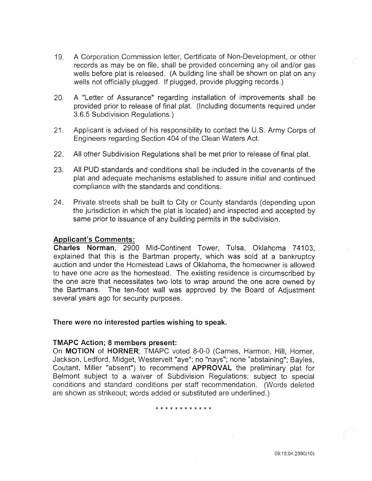- 19. A Corporation Commission letter, Certificate of Non-Development, or other records as may be on file, shall be provided concerning any oil and/or gas wells before plat is released. (A building line shall be shown on plat on any wells not officially plugged. If plugged, provide plugging records.)
- 20. A "Letter of Assurance" regarding installation of improvements shall be provided prior to release of final plat. (Including documents required under 3.6.5 Subdivision Regulations.)
- 21. Applicant is advised of his responsibility to contact the U.S. Army Corps of Engineers regarding Section 404 of the Clean Waters Act.
- 22. All other Subdivision Regulations shall be met prior to release of final plat.
- 23. All PUD standards and conditions shall be included in the covenants of the plat and adequate mechanisms established to assure initial and continued compliance with the standards and conditions.
- 24. Private streets shall be built to City or County standards (depending upon the jurisdiction in which the plat is located) and inspected and accepted by same prior to issuance of any building permits in the subdivision.

## Applicant's Comments:

Charles Norman, 2900 Mid-Continent Tower, Tulsa, Oklahoma 74103, explained that this is the Bartman property, which was sold at a bankruptcy auction and under the Homestead Laws of Oklahoma, the homeowner is allowed to have one acre as the homestead. The existing residence is circumscribed by the one acre that necessitates two lots to wrap around the one acre owned by the Bartmans. The ten-foot wall was approved by the Board of Adjustment several years ago for security purposes.

#### There were no interested parties wishing to speak.

## TMAPC Action; 8 members present:

On MOTION of HORNER, TMAPC voted 8-0-0 (Carnes, Harmon, Hill, Horner, Jackson, Ledford, Midget, Westervelt "aye"; no "nays"; none "abstaining"; Bayles, Coutant, Miller "absent") to recommend APPROVAL the preliminary plat for Belmont subject to a waiver of Subdivision Regulations; subject to special conditions and standard conditions per staff recommendation. (Words deleted are shown as strikeout; words added or substituted are underlined.)

#### \* \* \* \* \* \* \* \* \* \* \* \*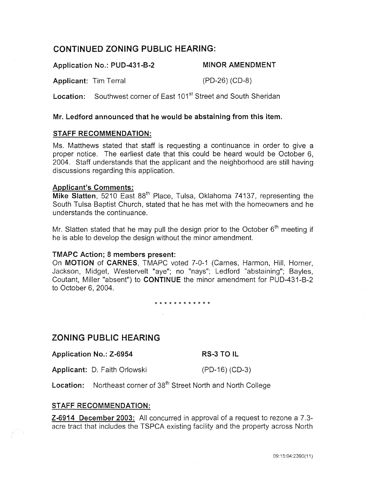## CONTINUED ZONING PUBLIC HEARING:

Application No.: PUD-431-B-2 Applicant: Tim Terral MINOR AMENDMENT (PD-26) (CD-8)

**Location:** Southwest corner of Fast 101<sup>st</sup> Street and South Sheridan

## Mr. Ledford announced that he would be abstaining from this item.

## STAFF RECOMMENDATION:

Ms. Matthews stated that staff is requesting a continuance in order to give a proper notice. The earliest date that this could be heard would be October 6, 2004. Staff understands that the applicant and the neighborhood are still having discussions regarding this application.

## Applicant's Comments:

Mike Slatten, 5210 East 88<sup>th</sup> Place, Tulsa, Oklahoma 74137, representing the South Tulsa Baptist Church, stated that he has met with the homeowners and he understands the continuance.

Mr. Slatten stated that he may pull the design prior to the October  $6<sup>th</sup>$  meeting if he is able to develop the design without the minor amendment.

## TMAPC Action; 8 members present:

On MOTION of CARNES, TMAPC voted 7-0-1 (Carnes, Harmon, Hill, Horner, Jackson, Midget, Westervelt "aye"; no "nays"; Ledford "abstaining"; Bayles, Coutant, Miller "absent") to CONTINUE the minor amendment for PUD-431-B-2 to October 6, 2004.

\* \* \* \* \* \* \* \* \* \* \* \*

## ZONING PUBLIC HEARING

Application No.: Z-6954 RS-3 TO IL

Applicant: D. Faith Orlowski (PD-16) (CD-3)

Location: Northeast corner of 38<sup>th</sup> Street North and North College

## STAFF RECOMMENDATION:

Z-6914 December 2003: All concurred in approval of a request to rezone a 7.3 acre tract that includes the TSPCA existing facility and the property across North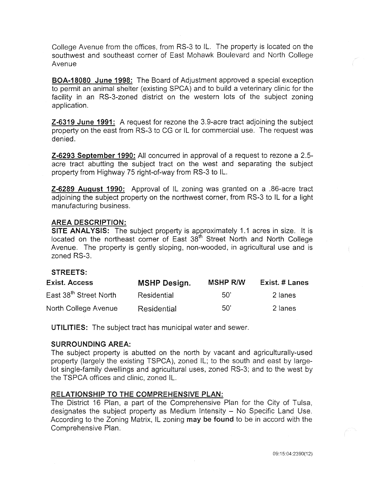College Avenue from the offices, from RS-3 to IL. The property is located on the southwest and southeast corner of East Mohawk Boulevard and North College Avenue

BOA-18080 June 1998: The Board of Adjustment approved a special exception to permit an animal shelter (existing SPCA) and to build a veterinary clinic for the facility in an RS-3-zoned district on the western lots of the subject zoning application.

Z-6319 June 1991: A request for rezone the 3.9-acre tract adjoining the subject property on the east from RS-3 to CG or IL for commercial use. The request was denied.

Z-6293 September 1990: All concurred in approval of a request to rezone a 2.5 acre tract abutting the subject tract on the west and separating the subject property from Highway 75 right-of-way from RS-3 to IL.

Z-6289 August 1990: Approval of IL zoning was granted on a .86-acre tract adjoining the subject property on the northwest corner, from RS-3 to IL for a light manufacturing business.

## AREA DESCRIPTION:

SITE ANALYSIS: The subject property is approximately 1.1 acres in size. It is located on the northeast corner of East 38<sup>th</sup> Street North and North College Avenue. The property is gently sloping, non-wooded, in agricultural use and is zoned RS-3.

## STREETS:

| <b>Exist. Access</b>               | <b>MSHP Design.</b> | <b>MSHP R/W</b> | Exist. # Lanes |
|------------------------------------|---------------------|-----------------|----------------|
| East 38 <sup>th</sup> Street North | Residential         | -50'            | 2 lanes        |
| North College Avenue               | Residential         | .50'            | 2 lanes        |

UTILITIES: The subject tract has municipal water and sewer.

## SURROUNDING AREA:

The subject property is abutted on the north by vacant and agriculturally-used property (largely the existing TSPCA), zoned IL; to the south and east by largelot single-family dwellings and agricultural uses, zoned RS-3; and to the west by the TSPCA offices and clinic, zoned IL.

## RELATIONSHIP TO THE COMPREHENSIVE PLAN:

The District 16 Plan, a part of the Comprehensive Plan for the City of Tulsa, designates the subject property as Medium Intensity - No Specific Land Use. According to the Zoning Matrix, IL zoning may be found to be in accord with the Comprehensive Plan.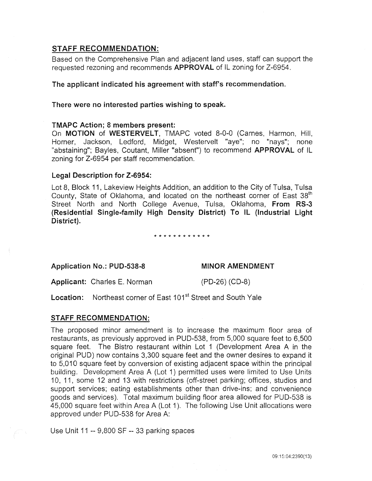## STAFF RECOMMENDATION:

Based on the Comprehensive Plan and adjacent land uses, staff can support the requested rezoning and recommends APPROVAL of IL zoning for Z-6954.

The applicant indicated his agreement with staff's recommendation.

There were no interested parties wishing to speak.

## TMAPC Action; 8 members present:

On MOTION of WESTERVELT, TMAPC voted 8-0-0 (Carnes, Harmon, Hill, Horner, Jackson, Ledford, Midget, Westervelt "aye"; no "nays"; none "abstaining"; Bayles, Coutant, Miller "absent") to recommend APPROVAL of IL zoning for Z-6954 per staff recommendation.

## Legal Description for Z-6954:

Lot 8, Block 11, Lakeview Heights Addition, an addition to the City of Tulsa, Tulsa County, State of Oklahoma, and located on the northeast corner of East 38<sup>th</sup> Street North and North College Avenue, Tulsa, Oklahoma, From RS-3 (Residential Single-family High Density District) To IL (Industrial Light District).

\* \* \* \* \* \* \* \* \* \* \* \*

Application No.: PUD-538-8

## MINOR AMENDMENT

Applicant: Charles E. Norman

(PD-26) (CD-8)

Location: Northeast corner of East 101<sup>st</sup> Street and South Yale

## STAFF RECOMMENDATION:

The proposed minor amendment is to increase the maximum floor area of restaurants, as previously approved in PUD-538, from 5,000 square feet to 6,500 square feet. The Bistro restaurant within Lot 1 (Development Area A in the original PUD) now contains 3,300 square feet and the owner desires to expand it to 5,010 square feet by conversion of existing adjacent space within the principal building. Development Area A (Lot 1) permitted uses were limited to Use Units 10, 11, some 12 and 13 with restrictions (off-street parking; offices, studios and support services; eating establishments other than drive-ins; and convenience goods and services). Total maximum building floor area allowed for PUD-538 is 45,000 square feet within Area A (Lot 1 ). The following Use Unit allocations were approved under PUD-538 for Area A:

Use Unit 11 -- 9,800 SF-- 33 parking spaces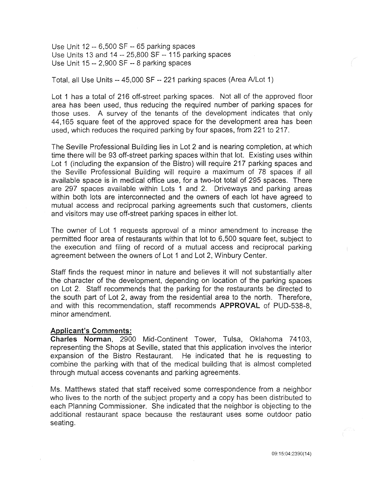Use Unit 12 -- 6,500 SF-- 65 parking spaces Use Units 13 and 14 -- 25,800 SF-- 115 parking spaces Use Unit 15 -- 2,900 SF-- 8 parking spaces

Total, all Use Units-- 45,000 SF-- 221 parking spaces (Area A/Lot 1)

Lot 1 has a total of 216 off-street parking spaces. Not all of the approved floor area has been used, thus reducing the required number of parking spaces for those uses. A survey of the tenants of the development indicates that only 44,165 square feet of the approved space for the development area has been used, which reduces the required parking by four spaces, from 221 to 217.

The Seville Professional Building lies in Lot 2 and is nearing completion, at which time there will be 93 off-street parking spaces within that lot. Existing uses within Lot 1 (including the expansion of the Bistro) will require 217 parking spaces and the Seville Professional Building will require a maximum of 78 spaces if all available space is in medical office use, for a two-lot total of 295 spaces. There are 297 spaces available within Lots 1 and 2. Driveways and parking areas within both lots are interconnected and the owners of each lot have agreed to mutual access and reciprocal parking agreements such that customers, clients and visitors may use off-street parking spaces in either lot.

The owner of Lot 1 requests approval of a minor amendment to increase the permitted floor area of restaurants within that lot to 6,500 square feet, subject to the execution and filing of record of a mutual access and reciprocal parking agreement between the owners of Lot 1 and Lot 2, Winbury Center.

Staff finds the request minor in nature and believes it will not substantially alter the character of the development, depending on location of the parking spaces on Lot 2. Staff recommends that the parking for the restaurants be directed to the south part of Lot 2, away from the residential area to the north. Therefore, and with this recommendation, staff recommends APPROVAL of PUD-538-8, minor amendment.

#### Applicant's Comments:

Charles Norman, 2900 Mid-Continent Tower, Tulsa, Oklahoma 74103, representing the Shops at Seville, stated that this application involves the interior expansion of the Bistro Restaurant. He indicated that he is requesting to combine the parking with that of the medical building that is almost completed through mutual access covenants and parking agreements.

Ms. Matthews stated that staff received some correspondence from a neighbor who lives to the north of the subject property and a copy has been distributed to each Planning Commissioner. She indicated that the neighbor is objecting to the additional restaurant space because the restaurant uses some outdoor patio seating.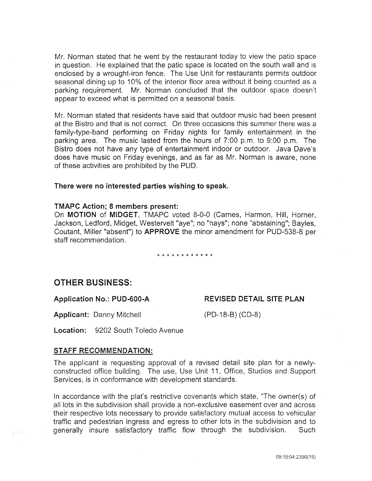Mr. Norman stated that he went by the restaurant today to view the patio space in question. He explained that the patio space is located on the south wall and is enclosed by a wrought-iron fence. The Use Unit for restaurants permits outdoor seasonal dining up to 10% of the interior floor area without it being counted as a parking requirement. Mr. Norman concluded that the outdoor space doesn't appear to exceed what is permitted on a seasonal basis.

Mr. Norman stated that residents have said that outdoor music had been present at the Bistro and that is not correct. On three occasions this summer there was a family-type-band performing on Friday nights for family entertainment in the parking area. The music lasted from the hours of 7:00 p.m. to 9:00 p.m. The Bistro does not have any type of entertainment indoor or outdoor. Java Dave's does have music on Friday evenings, and as far as Mr. Norman is aware, none of these activities are prohibited by the PUD.

## There were no interested parties wishing to speak.

#### TMAPC Action; 8 members present:

On MOTION of MIDGET, TMAPC voted 8-0-0 (Carnes, Harmon, Hill, Horner, Jackson, Ledford, Midget, Westervelt "aye"; no "nays"; none "abstaining"; Bayles, Coutant, Miller "absent") to APPROVE the minor amendment for PUD-538-8 per staff recommendation.

## \* \* \* \* \* \* \* \* \* \* \* \*

## OTHER BUSINESS:

## Application No.: PUD-600-A REVISED DETAIL SITE PLAN

Applicant: Danny Mitchell (PD-18-B) (CD-8)

Location: 9202 South Toledo Avenue

#### STAFF RECOMMENDATION:

The applicant is requesting approval of a revised detail site plan for a newlyconstructed office building. The use, Use Unit 11, Office, Studios and Support Services, is in conformance with development standards.

In accordance with the plat's restrictive covenants which state, "The owner(s) of all lots in the subdivision shall provide a non-exclusive easement over and across their respective lots necessary to provide satisfactory mutual access to vehicular traffic and pedestrian ingress and egress to other lots in the subdivision and to generally insure satisfactory traffic flow through the subdivision. Such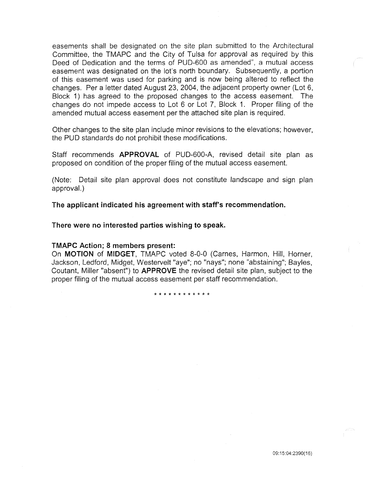easements shall be designated on the site plan submitted to the Architectural Committee, the TMAPC and the City of Tulsa for approval as required by this Deed of Dedication and the terms of PUD-600 as amended", a mutual access easement was designated on the lot's north boundary. Subsequently, a portion of this easement was used for parking and is now being altered to reflect the changes. Per a letter dated August 23, 2004, the adjacent property owner (Lot 6, Block 1) has agreed to the proposed changes to the access easement. The changes do not impede access to Lot 6 or Lot 7, Block 1. Proper filing of the amended mutual access easement per the attached site plan is required.

Other changes to the site plan include minor revisions to the elevations; however, the PUD standards do not prohibit these modifications.

Staff recommends APPROVAL of PUD-600-A, revised detail site plan as proposed on condition of the proper filing of the mutual access easement.

(Note: Detail site plan approval does not constitute landscape and sign plan approval.)

The applicant indicated his agreement with staff's recommendation.

There were no interested parties wishing to speak.

#### TMAPC Action; 8 members present:

On MOTION of MIDGET, TMAPC voted 8-0-0 (Carnes, Harmon, Hill, Horner, Jackson, Ledford, Midget, Westervelt "aye"; no "nays"; none "abstaining"; Bayles, Coutant, Miller "absent") to APPROVE the revised detail site plan, subject to the proper filing of the mutual access easement per staff recommendation.

\* \* \* \* \* \* \* \* \* \* \* \*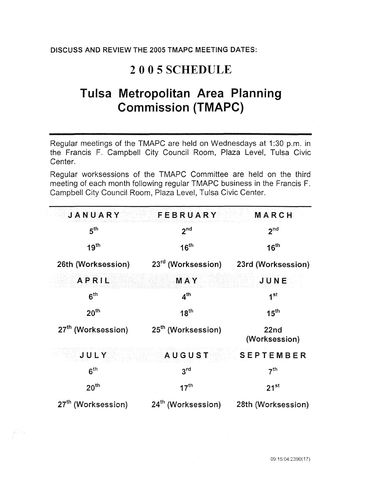## DISCUSS AND REVIEW THE 2005 TMAPC MEETING DATES:

## 2005SCHEDULE

# Tulsa Metropolitan Area Planning Commission (TMAPC)

Regular meetings of the TMAPC are held on Wednesdays at 1:30 p.m. in the Francis F. Campbell City Council Room, Plaza Level, Tulsa Civic Center.

Regular worksessions of the TMAPC Committee are held on the third meeting of each month following regular TMAPC business in the Francis F. Campbell City Council Room, Plaza Level, Tulsa Civic Center.

| JANUARY                        | FEBRUARY                       | MARCH                             |
|--------------------------------|--------------------------------|-----------------------------------|
| 5 <sup>th</sup>                | 2 <sup>nd</sup>                | 2 <sup>nd</sup>                   |
| 19 <sup>th</sup>               | 16 <sup>th</sup>               | 16 <sup>th</sup>                  |
| 26th (Worksession)             | 23 <sup>rd</sup> (Worksession) | 23rd (Worksession)                |
| APRIL                          | <b>MAY</b>                     | JUNE                              |
| 6 <sup>th</sup>                | 4 <sup>th</sup>                | 1 <sup>st</sup>                   |
| 20 <sup>th</sup>               | 18 <sup>th</sup>               | $15^{\text{th}}$                  |
| 27 <sup>th</sup> (Worksession) | 25 <sup>th</sup> (Worksession) | 22 <sub>nd</sub><br>(Worksession) |
| JULY                           | <b>AUGUST</b>                  | <b>SEPTEMBER</b>                  |
| 6 <sup>th</sup>                | $3^{\text{rd}}$                | 7 <sup>th</sup>                   |
| 20 <sup>th</sup>               | $17^{\text{th}}$               | $21^{st}$                         |
| 27 <sup>th</sup> (Worksession) | 24 <sup>th</sup> (Worksession) | 28th (Worksession)                |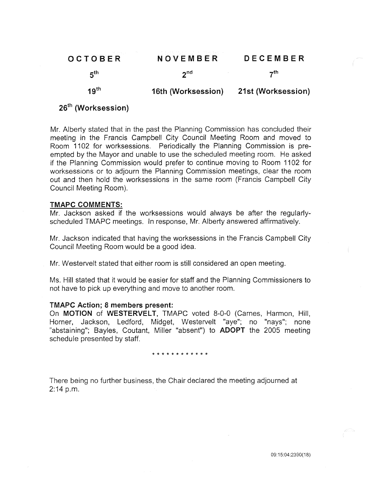| OCTOBER          | NOVEMBER           | DECEMBER           |
|------------------|--------------------|--------------------|
| 5 <sup>th</sup>  | $2^{nd}$           | 7 <sup>th</sup>    |
| 19 <sup>th</sup> | 16th (Worksession) | 21st (Worksession) |

## 26<sup>th</sup> (Worksession)

Mr. Alberty stated that in the past the Planning Commission has concluded their meeting in the Francis Campbell City Council Meeting Room and moved to Room 1102 for worksessions. Periodically the Planning Commission is preempted by the Mayor and unable to use the scheduled meeting room. He asked if the Planning Commission would prefer to continue moving to Room 1102 for worksessions or to adjourn the Planning Commission meetings, clear the room out and then hold the worksessions in the same room (Francis Campbell City Council Meeting Room).

## TMAPC COMMENTS:

Mr. Jackson asked if the worksessions would always be after the regularlyscheduled TMAPC meetings. In response, Mr. Alberty answered affirmatively.

Mr. Jackson indicated that having the worksessions in the Francis Campbell City Council Meeting Room would be a good idea.

Mr. Westervelt stated that either room is still considered an open meeting.

Ms. Hill stated that it would be easier for staff and the Planning Commissioners to not have to pick up everything and move to another room.

## TMAPC Action; 8 members present:

On MOTION of WESTERVELT, TMAPC voted 8-0-0 (Carnes, Harmon, Hill, Horner, Jackson, Ledford, Midget, Westervelt "aye"; no "nays"; none "abstaining"; Bayles, Coutant, Miller "absent") to ADOPT the 2005 meeting schedule presented by staff.

\* \* \* \* \* \* \* \* \* \* \* \*

There being no further business, the Chair declared the meeting adjourned at  $2:14$  p.m.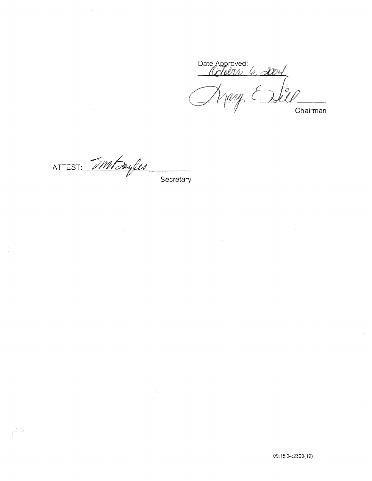Date Approved:<br>Colobri 6, 2004 **Chairman** 

ATTEST: 5Ml Juyles **Secretary**